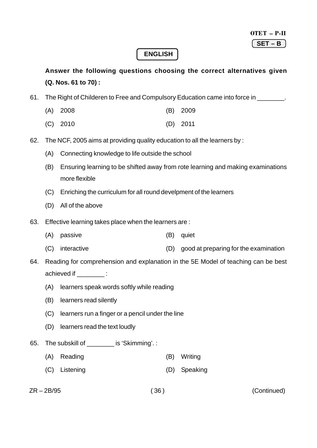### **ENGLISH**

**Answer the following questions choosing the correct alternatives given (Q. Nos. 61 to 70) :**

61. The Right of Childeren to Free and Compulsory Education came into force in

- (A) 2008 (B) 2009
- (C) 2010 (D) 2011
- 62. The NCF, 2005 aims at providing quality education to all the learners by :
	- (A) Connecting knowledge to life outside the school
	- (B) Ensuring learning to be shifted away from rote learning and making examinations more flexible
	- (C) Enriching the curriculum for all round develpment of the learners
	- (D) All of the above
- 63. Effective learning takes place when the learners are :
	- (A) passive (B) quiet
	- (C) interactive (D) good at preparing for the examination

64. Reading for comprehension and explanation in the 5E Model of teaching can be best achieved if  $\qquad \qquad :$ 

- (A) learners speak words softly while reading
- (B) learners read silently
- (C) learners run a finger or a pencil under the line
- (D) learners read the text loudly
- 65. The subskill of \_\_\_\_\_\_\_\_ is 'Skimming'. :
	- (A) Reading (B) Writing
	- (C) Listening (D) Speaking
- 

ZR – 2B/95 ( 36 ) (Continued)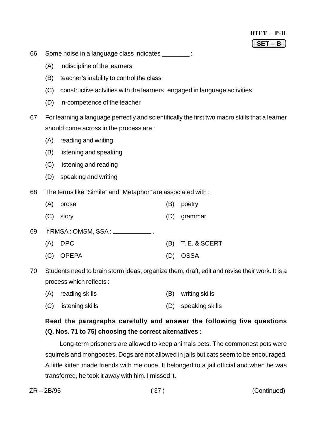- 66. Some noise in a language class indicates \_\_\_\_\_\_\_\_ :
	- (A) indiscipline of the learners
	- (B) teacher's inability to control the class
	- (C) constructive actvities with the learners engaged in language activities
	- (D) in-competence of the teacher
- 67. For learning a language perfectly and scientifically the first two macro skills that a learner should come across in the process are :
	- (A) reading and writing
	- (B) listening and speaking
	- (C) listening and reading
	- (D) speaking and writing
- 68. The terms like "Simile" and "Metaphor" are associated with :

| (A) prose                               | (B) poetry          |
|-----------------------------------------|---------------------|
| $(C)$ story                             | (D) grammar         |
| 69.  If RMSA : OMSM, SSA : ____________ |                     |
| $(A)$ DPC                               | $(B)$ T. E. & SCERT |

(C) OPEPA (D) OSSA

70. Students need to brain storm ideas, organize them, draft, edit and revise their work. It is a process which reflects :

|  | (A) reading skills |  | (B) writing skills |
|--|--------------------|--|--------------------|
|--|--------------------|--|--------------------|

(C) listening skills (D) speaking skills

## **Read the paragraphs carefully and answer the following five questions (Q. Nos. 71 to 75) choosing the correct alternatives :**

 Long-term prisoners are allowed to keep animals pets. The commonest pets were squirrels and mongooses. Dogs are not allowed in jails but cats seem to be encouraged. A little kitten made friends with me once. It belonged to a jail official and when he was transferred, he took it away with him. I missed it.

ZR – 2B/95 ( 37 ) (Continued)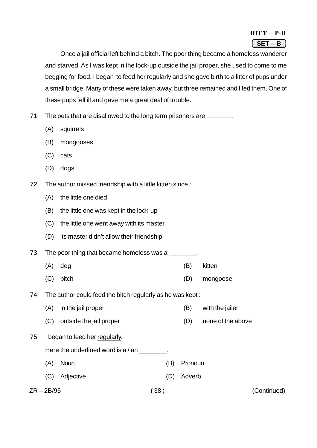#### OTET – P-II 1234 The Control of the Control of the Control of the Control of the Control of the Control of the Control of

Once a jail official left behind a bitch. The poor thing became a homeless wanderer and starved. As I was kept in the lock-up outside the jail proper, she used to come to me begging for food. I began to feed her regularly and she gave birth to a litter of pups under a small bridge. Many of these were taken away, but three remained and I fed them. One of these pups fell ill and gave me a great deal of trouble.

71. The pets that are disallowed to the long term prisoners are \_\_\_\_\_\_\_.

- (A) squirrels
- (B) mongooses
- (C) cats
- (D) dogs
- 72. The author missed friendship with a little kitten since :
	- (A) the little one died
	- (B) the little one was kept in the lock-up
	- (C) the little one went away with its master
	- (D) its master didn't allow their friendship

73. The poor thing that became homeless was a

- (A) dog (B) kitten
- (C) bitch (D) mongoose
- 74. The author could feed the bitch regularly as he was kept :
	- (A) in the jail proper (B) with the jailer
	- (C) outside the jail proper (D) none of the above
- 75. I began to feed her regularly.
	- Here the underlined word is a / an \_\_\_\_\_\_\_\_.
	- (A) Noun (B) Pronoun
	- (C) Adjective (D) Adverb

ZR – 2B/95 ( 38 ) (Continued)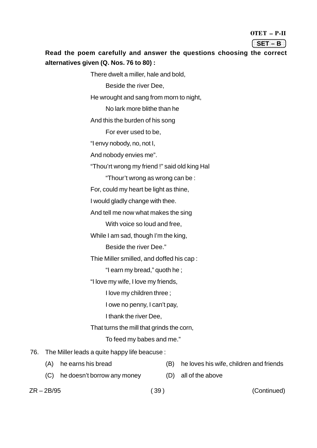| OTET | Л |  |
|------|---|--|
|      |   |  |

| т. |  |
|----|--|

### Read the poem carefully and answer the questions choosing the correct **alternatives given (Q. Nos. 76 to 80) :**

There dwelt a miller, hale and bold, Beside the river Dee, He wrought and sang from morn to night, No lark more blithe than he And this the burden of his song For ever used to be, "I envy nobody, no, not I, And nobody envies me". "Thou'rt wrong my friend !" said old king Hal "Thour't wrong as wrong can be : For, could my heart be light as thine, I would gladly change with thee. And tell me now what makes the sing With voice so loud and free, While I am sad, though I'm the king, Beside the river Dee." Thie Miller smilled, and doffed his cap : "I earn my bread," quoth he ; "I love my wife, I love my friends, I love my children three ; I owe no penny, I can't pay, I thank the river Dee, That turns the mill that grinds the corn, To feed my babes and me." 76. The Miller leads a quite happy life beacuse : (A) he earns his bread (B) he loves his wife, children and friends

(C) he doesn't borrow any money (D) all of the above

ZR – 2B/95 ( 39 ) (Continued)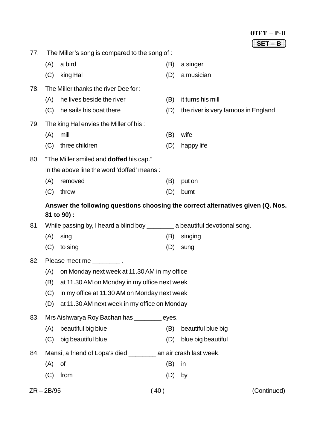|     |                                                                                 |                                                                                 |     | OTET - P-II                         |
|-----|---------------------------------------------------------------------------------|---------------------------------------------------------------------------------|-----|-------------------------------------|
|     |                                                                                 |                                                                                 |     | $SET - B$                           |
| 77. |                                                                                 | The Miller's song is compared to the song of :                                  |     |                                     |
|     | (A)                                                                             | a bird                                                                          | (B) | a singer                            |
|     | (C)                                                                             | king Hal                                                                        | (D) | a musician                          |
| 78. |                                                                                 | The Miller thanks the river Dee for:                                            |     |                                     |
|     | (A)                                                                             | he lives beside the river                                                       | (B) | it turns his mill                   |
|     | (C)                                                                             | he sails his boat there                                                         | (D) | the river is very famous in England |
| 79. |                                                                                 | The king Hal envies the Miller of his:                                          |     |                                     |
|     | (A)                                                                             | mill                                                                            | (B) | wife                                |
|     | (C)                                                                             | three children                                                                  | (D) | happy life                          |
| 80. |                                                                                 | "The Miller smiled and <b>doffed</b> his cap."                                  |     |                                     |
|     |                                                                                 | In the above line the word 'doffed' means:                                      |     |                                     |
|     | (A)                                                                             | removed                                                                         | (B) | put on                              |
|     | (C)                                                                             | threw                                                                           | (D) | burnt                               |
|     | Answer the following questions choosing the correct alternatives given (Q. Nos. |                                                                                 |     |                                     |
|     |                                                                                 | 81 to 90) :                                                                     |     |                                     |
| 81. |                                                                                 | While passing by, I heard a blind boy ____________ a beautiful devotional song. |     |                                     |
|     | (A)                                                                             | sing                                                                            | (B) | singing                             |
|     | (C)                                                                             | to sing                                                                         | (D) | sung                                |
| 82. |                                                                                 | Please meet me _________.                                                       |     |                                     |
|     | (A)                                                                             | on Monday next week at 11.30 AM in my office                                    |     |                                     |
|     | at 11.30 AM on Monday in my office next week<br>(B)                             |                                                                                 |     |                                     |
|     | (C)<br>in my office at 11.30 AM on Monday next week                             |                                                                                 |     |                                     |
|     | (D)                                                                             | at 11.30 AM next week in my office on Monday                                    |     |                                     |
| 83. | Mrs Aishwarya Roy Bachan has _________ eyes.                                    |                                                                                 |     |                                     |
|     | (A)                                                                             | beautiful big blue                                                              | (B) | beautiful blue big                  |
|     | (C)                                                                             | big beautiful blue                                                              | (D) | blue big beautiful                  |
| 84. |                                                                                 | Mansi, a friend of Lopa's died __________ an air crash last week.               |     |                                     |
|     | (A)                                                                             | Οf                                                                              | (B) | in                                  |
|     | (C)                                                                             | from                                                                            | (D) | by                                  |
|     | $ZR - 2B/95$                                                                    | 40)                                                                             |     | (Continued)                         |